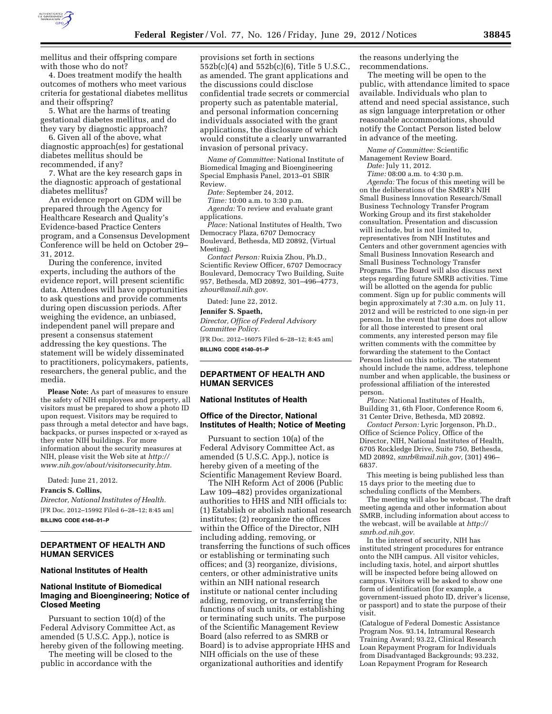

mellitus and their offspring compare with those who do not?

4. Does treatment modify the health outcomes of mothers who meet various criteria for gestational diabetes mellitus and their offspring?

5. What are the harms of treating gestational diabetes mellitus, and do they vary by diagnostic approach?

6. Given all of the above, what diagnostic approach(es) for gestational diabetes mellitus should be recommended, if any?

7. What are the key research gaps in the diagnostic approach of gestational diabetes mellitus?

An evidence report on GDM will be prepared through the Agency for Healthcare Research and Quality's Evidence-based Practice Centers program, and a Consensus Development Conference will be held on October 29– 31, 2012.

During the conference, invited experts, including the authors of the evidence report, will present scientific data. Attendees will have opportunities to ask questions and provide comments during open discussion periods. After weighing the evidence, an unbiased, independent panel will prepare and present a consensus statement addressing the key questions. The statement will be widely disseminated to practitioners, policymakers, patients, researchers, the general public, and the media.

**Please Note:** As part of measures to ensure the safety of NIH employees and property, all visitors must be prepared to show a photo ID upon request. Visitors may be required to pass through a metal detector and have bags, backpacks, or purses inspected or x-rayed as they enter NIH buildings. For more information about the security measures at NIH, please visit the Web site at *[http://](http://www.nih.gov/about/visitorsecurity.htm)  [www.nih.gov/about/visitorsecurity.htm.](http://www.nih.gov/about/visitorsecurity.htm)* 

Dated: June 21, 2012.

### **Francis S. Collins,**

*Director, National Institutes of Health.*  [FR Doc. 2012–15992 Filed 6–28–12; 8:45 am] **BILLING CODE 4140–01–P** 

# **DEPARTMENT OF HEALTH AND HUMAN SERVICES**

#### **National Institutes of Health**

### **National Institute of Biomedical Imaging and Bioengineering; Notice of Closed Meeting**

Pursuant to section 10(d) of the Federal Advisory Committee Act, as amended (5 U.S.C. App.), notice is hereby given of the following meeting.

The meeting will be closed to the public in accordance with the

provisions set forth in sections 552b(c)(4) and 552b(c)(6), Title 5 U.S.C., as amended. The grant applications and the discussions could disclose confidential trade secrets or commercial property such as patentable material, and personal information concerning individuals associated with the grant applications, the disclosure of which would constitute a clearly unwarranted invasion of personal privacy.

*Name of Committee:* National Institute of Biomedical Imaging and Bioengineering Special Emphasis Panel, 2013–01 SBIR Review.

*Date:* September 24, 2012.

*Time:* 10:00 a.m. to 3:30 p.m. *Agenda:* To review and evaluate grant applications.

*Place:* National Institutes of Health, Two Democracy Plaza, 6707 Democracy Boulevard, Bethesda, MD 20892, (Virtual Meeting).

*Contact Person:* Ruixia Zhou, Ph.D., Scientific Review Officer, 6707 Democracy Boulevard, Democracy Two Building, Suite 957, Bethesda, MD 20892, 301–496–4773, *[zhour@mail.nih.gov.](mailto:zhour@mail.nih.gov)* 

Dated: June 22, 2012.

#### **Jennifer S. Spaeth,**

*Director, Office of Federal Advisory Committee Policy.* 

[FR Doc. 2012–16075 Filed 6–28–12; 8:45 am] **BILLING CODE 4140–01–P** 

## **DEPARTMENT OF HEALTH AND HUMAN SERVICES**

### **National Institutes of Health**

# **Office of the Director, National Institutes of Health; Notice of Meeting**

Pursuant to section 10(a) of the Federal Advisory Committee Act, as amended (5 U.S.C. App.), notice is hereby given of a meeting of the Scientific Management Review Board.

The NIH Reform Act of 2006 (Public Law 109–482) provides organizational authorities to HHS and NIH officials to: (1) Establish or abolish national research institutes; (2) reorganize the offices within the Office of the Director, NIH including adding, removing, or transferring the functions of such offices or establishing or terminating such offices; and (3) reorganize, divisions, centers, or other administrative units within an NIH national research institute or national center including adding, removing, or transferring the functions of such units, or establishing or terminating such units. The purpose of the Scientific Management Review Board (also referred to as SMRB or Board) is to advise appropriate HHS and NIH officials on the use of these organizational authorities and identify

the reasons underlying the recommendations.

The meeting will be open to the public, with attendance limited to space available. Individuals who plan to attend and need special assistance, such as sign language interpretation or other reasonable accommodations, should notify the Contact Person listed below in advance of the meeting.

*Name of Committee:* Scientific Management Review Board.

*Date:* July 11, 2012.

*Time:* 08:00 a.m. to 4:30 p.m. *Agenda:* The focus of this meeting will be on the deliberations of the SMRB's NIH Small Business Innovation Research/Small Business Technology Transfer Program Working Group and its first stakeholder consultation. Presentation and discussion will include, but is not limited to, representatives from NIH Institutes and Centers and other government agencies with Small Business Innovation Research and Small Business Technology Transfer Programs. The Board will also discuss next steps regarding future SMRB activities. Time will be allotted on the agenda for public comment. Sign up for public comments will begin approximately at 7:30 a.m. on July 11, 2012 and will be restricted to one sign-in per person. In the event that time does not allow for all those interested to present oral comments, any interested person may file written comments with the committee by forwarding the statement to the Contact Person listed on this notice. The statement should include the name, address, telephone number and when applicable, the business or professional affiliation of the interested person.

*Place:* National Institutes of Health, Building 31, 6th Floor, Conference Room 6, 31 Center Drive, Bethesda, MD 20892.

*Contact Person:* Lyric Jorgenson, Ph.D., Office of Science Policy, Office of the Director, NIH, National Institutes of Health, 6705 Rockledge Drive, Suite 750, Bethesda, MD 20892, *[smrb@mail.nih.gov,](mailto:smrb@mail.nih.gov)* (301) 496– 6837.

This meeting is being published less than 15 days prior to the meeting due to scheduling conflicts of the Members.

The meeting will also be webcast. The draft meeting agenda and other information about SMRB, including information about access to the webcast, will be available at *[http://](http://smrb.od.nih.gov)  [smrb.od.nih.gov.](http://smrb.od.nih.gov)* 

In the interest of security, NIH has instituted stringent procedures for entrance onto the NIH campus. All visitor vehicles, including taxis, hotel, and airport shuttles will be inspected before being allowed on campus. Visitors will be asked to show one form of identification (for example, a government-issued photo ID, driver's license, or passport) and to state the purpose of their visit.

(Catalogue of Federal Domestic Assistance Program Nos. 93.14, Intramural Research Training Award; 93.22, Clinical Research Loan Repayment Program for Individuals from Disadvantaged Backgrounds; 93.232, Loan Repayment Program for Research